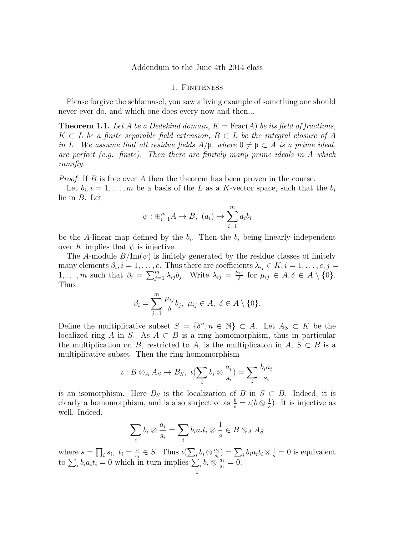Addendum to the June 4th 2014 class

## 1. FINITENESS

Please forgive the schlamasel, you saw a living example of something one should never ever do, and which one does every now and then...

**Theorem 1.1.** Let A be a Dedekind domain,  $K = \text{Frac}(A)$  be its field of fractions,  $K \subset L$  be a finite separable field extension,  $B \subset L$  be the integral closure of A in L. We assume that all residue fields  $A/\mathfrak{p}$ , where  $0 \neq \mathfrak{p} \subset A$  is a prime ideal, are perfect (e.g. finite). Then there are finitely many prime ideals in A which ramifiy.

*Proof.* If  $B$  is free over  $A$  then the theorem has been proven in the course.

Let  $b_i, i = 1, \ldots, m$  be a basis of the L as a K-vector space, such that the  $b_i$ lie in B. Let

$$
\psi: \bigoplus_{i=1}^{m} A \to B, \ (a_i) \mapsto \sum_{i=1}^{m} a_i b_i
$$

be the A-linear map defined by the  $b_i$ . Then the  $b_i$  being linearly independent over K implies that  $\psi$  is injective.

The A-module  $B/\text{Im}(\psi)$  is finitely generated by the residue classes of finitely many elements  $\beta_i, i = 1, \ldots, c$ . Thus there are coefficients  $\lambda_{ij} \in K, i = 1, \ldots, c, j =$ 1,..., *m* such that  $\beta_i = \sum_{j=1}^m \lambda_{ij} b_j$ . Write  $\lambda_{ij} = \frac{\mu_{ij}}{\delta}$  $\frac{\partial^i}{\partial \delta}$  for  $\mu_{ij} \in A, \delta \in A \setminus \{0\}.$ Thus

$$
\beta_i = \sum_{j=1}^m \frac{\mu_{ij}}{\delta} b_j, \ \mu_{ij} \in A, \ \delta \in A \setminus \{0\}.
$$

Define the multiplicative subset  $S = \{\delta^n, n \in \mathbb{N}\}\subset A$ . Let  $A_S \subset K$  be the localized ring A in S. As  $A \subset B$  is a ring homomorphism, thus in particular the multiplication on B, restricted to A, is the multiplicaton in A,  $S \subset B$  is a multiplicative subset. Then the ring homomorphism

$$
\iota: B \otimes_A A_S \to B_S, \ \iota(\sum_i b_i \otimes \frac{a_i}{s_i}) = \sum_i \frac{b_i a_i}{s_i}
$$

is an isomorphism. Here  $B<sub>S</sub>$  is the localization of B in  $S \subset B$ . Indeed, it is clearly a homomorphism, and is also surjective as  $\frac{b}{s} = \iota(b \otimes \frac{1}{s})$  $\frac{1}{s}$ ). It is injective as well. Indeed,

$$
\sum_{i} b_{i} \otimes \frac{a_{i}}{s_{i}} = \sum_{i} b_{i} a_{i} t_{i} \otimes \frac{1}{s} \in B \otimes_{A} A_{S}
$$

where  $s = \prod_i s_i, t_i = \frac{s}{s_i}$  $\frac{s}{s_i} \in S$ . Thus  $\iota(\sum_i b_i \otimes \frac{a_i}{s_i})$  $\frac{a_i}{s_i}$ ) =  $\sum_i b_i a_i t_i \otimes \frac{1}{s} = 0$  is equivalent to  $\sum_i b_i a_i t_i = 0$  which in turn implies  $\sum_i b_i \otimes \frac{a_i}{s_i}$  $\frac{a_i}{s_i}=0.$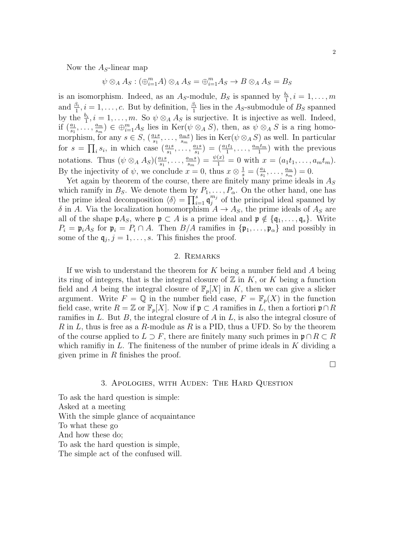Now the  $A<sub>S</sub>$ -linear map

$$
\psi \otimes_A A_S : (\bigoplus_{i=1}^m A) \otimes_A A_S = \bigoplus_{i=1}^m A_S \to B \otimes_A A_S = B_S
$$

is an isomorphism. Indeed, as an  $A_S$ -module,  $B_S$  is spanned by  $\frac{b_i}{1}, i = 1, \ldots, m$ and  $\frac{\beta_i}{1}$ ,  $i = 1, \ldots, c$ . But by definition,  $\frac{\beta_i}{1}$  lies in the A<sub>S</sub>-submodule of B<sub>S</sub> spanned by the  $\frac{b_i}{1}$ ,  $i = 1, ..., m$ . So  $\psi \otimes_A A_S$  is surjective. It is injective as well. Indeed, if  $\left(\frac{a_1}{s_1},\ldots,\frac{a_m}{s_m}\right)$  $\binom{a_m}{s_m} \in \bigoplus_{i=1}^m A_S$  lies in  $\text{Ker}(\psi \otimes_A S)$ , then, as  $\psi \otimes_A S$  is a ring homomorphism, for any  $s \in S$ ,  $\left(\frac{a_1 s}{s_1}, \ldots, \frac{a_m s}{s_m}\right)$  $\frac{u_{ms}}{s_m}$ ) lies in  $\text{Ker}(\psi \otimes_A S)$  as well. In particular for  $s = \prod_i s_i$ , in which case  $\left(\frac{a_1 s}{s_1}, \ldots, \frac{a_1 s}{s_1}\right)$  $\binom{a_1s}{s_1} = \left(\frac{a_1t_1}{1}, \ldots, \frac{a_mt_m}{1}\right)$  $\frac{1}{1}$  with the previous notations. Thus  $(\psi \otimes_A A_S)(\frac{a_1s}{s_1}, \ldots, \frac{a_ms}{s_m})$  $\frac{u_{m}s}{s_{m}}$ ) =  $\frac{\psi(x)}{1}$  = 0 with  $x = (a_1t_1, \ldots, a_mt_m)$ . By the injectivity of  $\psi$ , we conclude  $x = 0$ , thus  $x \otimes \frac{1}{s} = (\frac{a_1}{s_1}, \dots, \frac{a_m}{s_m})$  $\frac{a_m}{s_m}$ ) = 0.

Yet again by theorem of the course, there are finitely many prime ideals in  $A<sub>S</sub>$ which ramify in  $B_s$ . We denote them by  $P_1, \ldots, P_\alpha$ . On the other hand, one has the prime ideal decomposition  $\langle \delta \rangle = \prod_{i=1}^s \mathfrak{q}_j^{m_j}$  $j_j^{m_j}$  of the principal ideal spanned by  $\delta$  in A. Via the localization homomorphism  $A \to A_S$ , the prime ideals of  $A_S$  are all of the shape  $p A_S$ , where  $p \subset A$  is a prime ideal and  $p \notin \{q_1, \ldots, q_s\}$ . Write  $P_i = \mathfrak{p}_i A_S$  for  $\mathfrak{p}_i = P_i \cap A$ . Then  $B/A$  ramifies in  $\{\mathfrak{p}_1, \ldots, \mathfrak{p}_\alpha\}$  and possibly in some of the  $q_j$ ,  $j = 1, \ldots, s$ . This finishes the proof.

## 2. Remarks

If we wish to understand the theorem for  $K$  being a number field and  $A$  being its ring of integers, that is the integral closure of  $\mathbb Z$  in  $K$ , or  $K$  being a function field and A being the integral closure of  $\mathbb{F}_p[X]$  in K, then we can give a slicker argument. Write  $F = \mathbb{Q}$  in the number field case,  $F = \mathbb{F}_p(X)$  in the function field case, write  $R = \mathbb{Z}$  or  $\mathbb{F}_p[X]$ . Now if  $\mathfrak{p} \subset A$  ramifies in L, then a fortiori  $\mathfrak{p} \cap R$ ramifies in L. But B, the integral closure of A in L, is also the integral closure of R in L, thus is free as a R-module as R is a PID, thus a UFD. So by the theorem of the course applied to  $L \supset F$ , there are finitely many such primes in  $\mathfrak{p} \cap R \subset R$ which ramifiy in  $L$ . The finiteness of the number of prime ideals in  $K$  dividing a given prime in  $R$  finishes the proof.

 $\Box$ 

## 3. Apologies, with Auden: The Hard Question

To ask the hard question is simple: Asked at a meeting With the simple glance of acquaintance To what these go And how these do; To ask the hard question is simple, The simple act of the confused will.